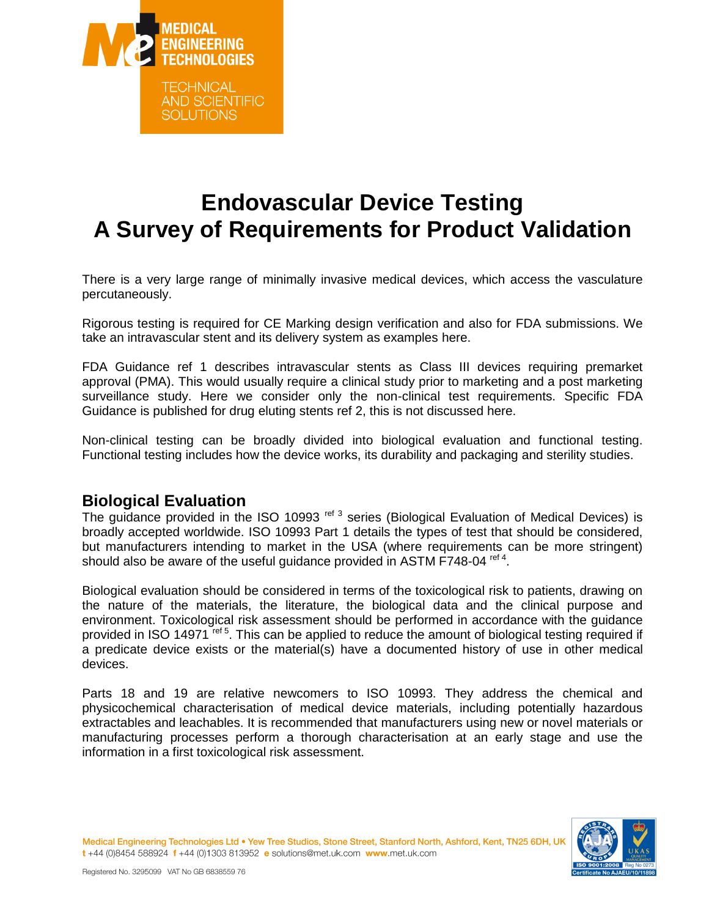

# **Endovascular Device Testing A Survey of Requirements for Product Validation**

There is a very large range of minimally invasive medical devices, which access the vasculature percutaneously.

Rigorous testing is required for CE Marking design verification and also for FDA submissions. We take an intravascular stent and its delivery system as examples here.

FDA Guidance ref 1 describes intravascular stents as Class III devices requiring premarket approval (PMA). This would usually require a clinical study prior to marketing and a post marketing surveillance study. Here we consider only the non-clinical test requirements. Specific FDA Guidance is published for drug eluting stents ref 2, this is not discussed here.

Non-clinical testing can be broadly divided into biological evaluation and functional testing. Functional testing includes how the device works, its durability and packaging and sterility studies.

#### **Biological Evaluation**

The guidance provided in the ISO 10993<sup>ref 3</sup> series (Biological Evaluation of Medical Devices) is broadly accepted worldwide. ISO 10993 Part 1 details the types of test that should be considered, but manufacturers intending to market in the USA (where requirements can be more stringent) should also be aware of the useful guidance provided in ASTM F748-04 ref 4.

Biological evaluation should be considered in terms of the toxicological risk to patients, drawing on the nature of the materials, the literature, the biological data and the clinical purpose and environment. Toxicological risk assessment should be performed in accordance with the guidance provided in ISO 14971<sup>ref 5</sup>. This can be applied to reduce the amount of biological testing required if a predicate device exists or the material(s) have a documented history of use in other medical devices.

Parts 18 and 19 are relative newcomers to ISO 10993. They address the chemical and physicochemical characterisation of medical device materials, including potentially hazardous extractables and leachables. It is recommended that manufacturers using new or novel materials or manufacturing processes perform a thorough characterisation at an early stage and use the information in a first toxicological risk assessment.

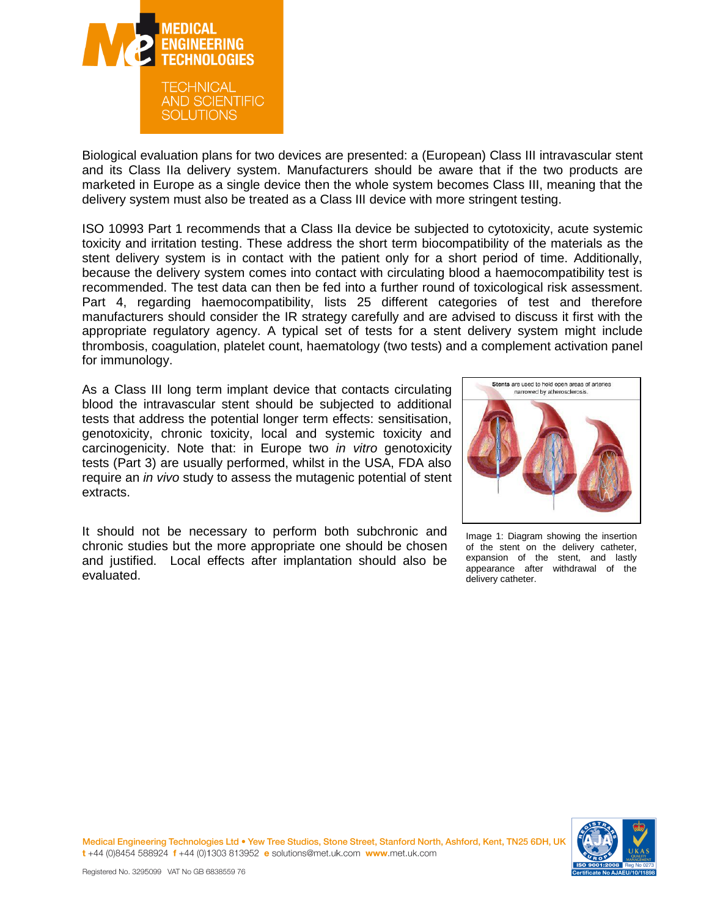

Biological evaluation plans for two devices are presented: a (European) Class III intravascular stent and its Class IIa delivery system. Manufacturers should be aware that if the two products are marketed in Europe as a single device then the whole system becomes Class III, meaning that the delivery system must also be treated as a Class III device with more stringent testing.

ISO 10993 Part 1 recommends that a Class IIa device be subjected to cytotoxicity, acute systemic toxicity and irritation testing. These address the short term biocompatibility of the materials as the stent delivery system is in contact with the patient only for a short period of time. Additionally, because the delivery system comes into contact with circulating blood a haemocompatibility test is recommended. The test data can then be fed into a further round of toxicological risk assessment. Part 4, regarding haemocompatibility, lists 25 different categories of test and therefore manufacturers should consider the IR strategy carefully and are advised to discuss it first with the appropriate regulatory agency. A typical set of tests for a stent delivery system might include thrombosis, coagulation, platelet count, haematology (two tests) and a complement activation panel for immunology.

As a Class III long term implant device that contacts circulating blood the intravascular stent should be subjected to additional tests that address the potential longer term effects: sensitisation, genotoxicity, chronic toxicity, local and systemic toxicity and carcinogenicity. Note that: in Europe two *in vitro* genotoxicity tests (Part 3) are usually performed, whilst in the USA, FDA also require an *in vivo* study to assess the mutagenic potential of stent extracts.

It should not be necessary to perform both subchronic and chronic studies but the more appropriate one should be chosen and justified. Local effects after implantation should also be evaluated.



Image 1: Diagram showing the insertion of the stent on the delivery catheter, expansion of the stent, and lastly appearance after withdrawal of the delivery catheter.



Medical Engineering Technologies Ltd . Yew Tree Studios, Stone Street, Stanford North, Ashford, Kent, TN25 6DH, U t+44 (0)8454 588924 f+44 (0)1303 813952 e solutions@met.uk.com www.met.uk.com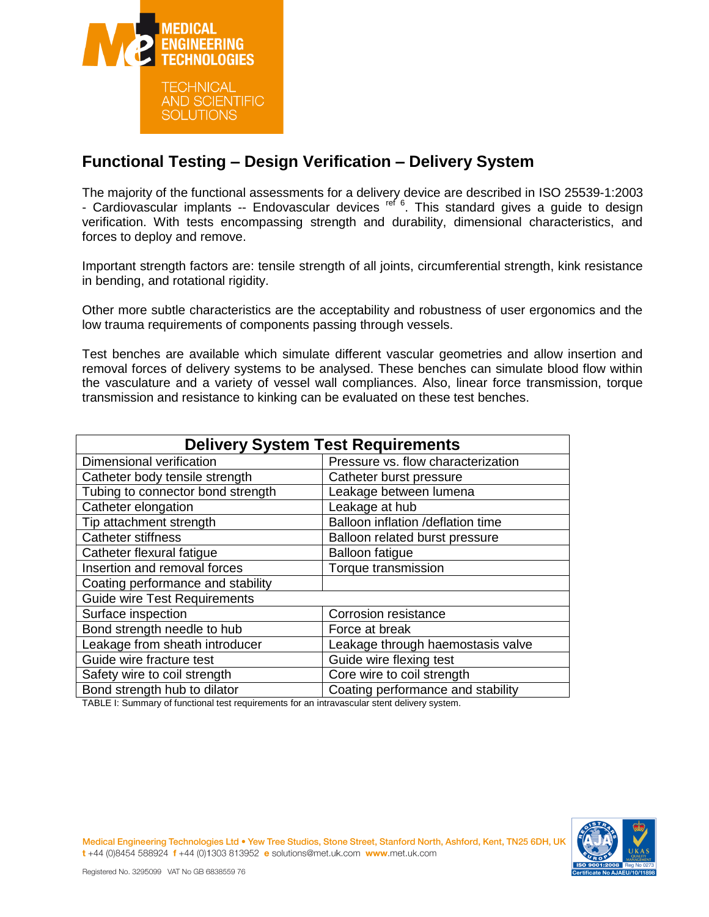

## **Functional Testing – Design Verification – Delivery System**

The majority of the functional assessments for a delivery device are described in ISO 25539-1:2003 - Cardiovascular implants -- Endovascular devices ref 6. This standard gives a guide to design verification. With tests encompassing strength and durability, dimensional characteristics, and forces to deploy and remove.

Important strength factors are: tensile strength of all joints, circumferential strength, kink resistance in bending, and rotational rigidity.

Other more subtle characteristics are the acceptability and robustness of user ergonomics and the low trauma requirements of components passing through vessels.

Test benches are available which simulate different vascular geometries and allow insertion and removal forces of delivery systems to be analysed. These benches can simulate blood flow within the vasculature and a variety of vessel wall compliances. Also, linear force transmission, torque transmission and resistance to kinking can be evaluated on these test benches.

| <b>Delivery System Test Requirements</b>                                                                                                        |                                    |
|-------------------------------------------------------------------------------------------------------------------------------------------------|------------------------------------|
| Dimensional verification                                                                                                                        | Pressure vs. flow characterization |
| Catheter body tensile strength                                                                                                                  | Catheter burst pressure            |
| Tubing to connector bond strength                                                                                                               | Leakage between lumena             |
| Catheter elongation                                                                                                                             | Leakage at hub                     |
| Tip attachment strength                                                                                                                         | Balloon inflation /deflation time  |
| <b>Catheter stiffness</b>                                                                                                                       | Balloon related burst pressure     |
| Catheter flexural fatigue                                                                                                                       | <b>Balloon fatigue</b>             |
| Insertion and removal forces                                                                                                                    | Torque transmission                |
| Coating performance and stability                                                                                                               |                                    |
| <b>Guide wire Test Requirements</b>                                                                                                             |                                    |
| Surface inspection                                                                                                                              | <b>Corrosion resistance</b>        |
| Bond strength needle to hub                                                                                                                     | Force at break                     |
| Leakage from sheath introducer                                                                                                                  | Leakage through haemostasis valve  |
| Guide wire fracture test                                                                                                                        | Guide wire flexing test            |
| Safety wire to coil strength                                                                                                                    | Core wire to coil strength         |
| Bond strength hub to dilator<br>$\tau$ ( $\tau$ ) $\tau$ ) . $\sigma$ , and a sequence of $\epsilon$ and the sequence of the sequence of $\tau$ | Coating performance and stability  |

TABLE I: Summary of functional test requirements for an intravascular stent delivery system.



Medical Engineering Technologies Ltd . Yew Tree Studios, Stone Street, Stanford North, Ashford, Kent, TN25 6DH, U t+44 (0)8454 588924 f+44 (0)1303 813952 e solutions@met.uk.com www.met.uk.com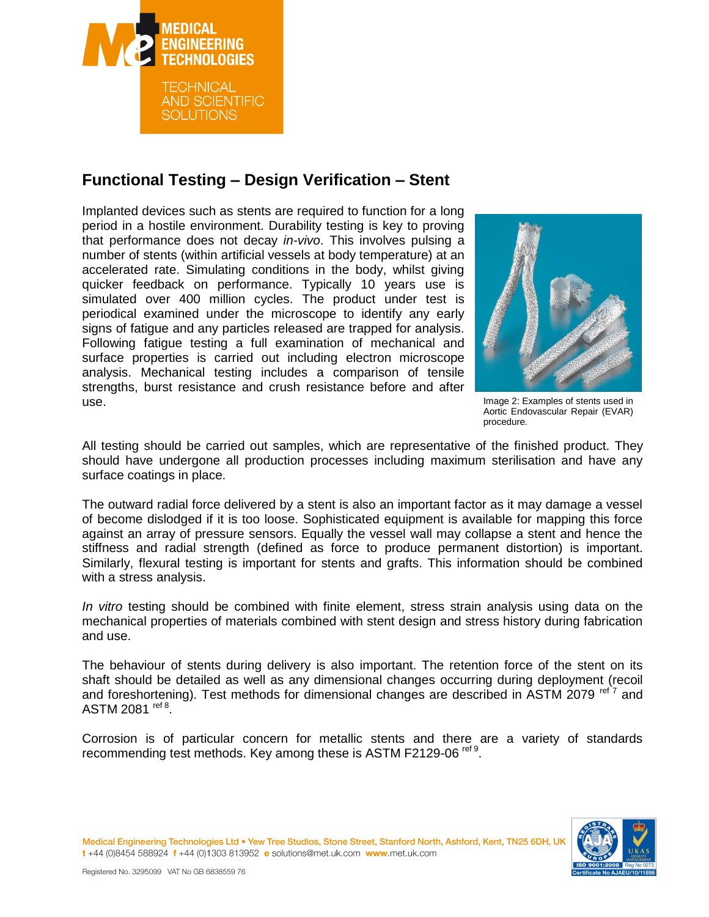

## **Functional Testing – Design Verification – Stent**

Implanted devices such as stents are required to function for a long period in a hostile environment. Durability testing is key to proving that performance does not decay *in-vivo*. This involves pulsing a number of stents (within artificial vessels at body temperature) at an accelerated rate. Simulating conditions in the body, whilst giving quicker feedback on performance. Typically 10 years use is simulated over 400 million cycles. The product under test is periodical examined under the microscope to identify any early signs of fatigue and any particles released are trapped for analysis. Following fatigue testing a full examination of mechanical and surface properties is carried out including electron microscope analysis. Mechanical testing includes a comparison of tensile strengths, burst resistance and crush resistance before and after use.



Image 2: Examples of stents used in Aortic Endovascular Repair (EVAR) procedure.

All testing should be carried out samples, which are representative of the finished product. They should have undergone all production processes including maximum sterilisation and have any surface coatings in place.

The outward radial force delivered by a stent is also an important factor as it may damage a vessel of become dislodged if it is too loose. Sophisticated equipment is available for mapping this force against an array of pressure sensors. Equally the vessel wall may collapse a stent and hence the stiffness and radial strength (defined as force to produce permanent distortion) is important. Similarly, flexural testing is important for stents and grafts. This information should be combined with a stress analysis.

*In vitro* testing should be combined with finite element, stress strain analysis using data on the mechanical properties of materials combined with stent design and stress history during fabrication and use.

The behaviour of stents during delivery is also important. The retention force of the stent on its shaft should be detailed as well as any dimensional changes occurring during deployment (recoil and foreshortening). Test methods for dimensional changes are described in ASTM 2079 ref 7 and ASTM 2081 <sup>ref 8</sup>.

Corrosion is of particular concern for metallic stents and there are a variety of standards recommending test methods. Key among these is ASTM F2129-06 ref 9.



Medical Engineering Technologies Ltd . Yew Tree Studios, Stone Street, Stanford North, Ashford, Kent, TN25 6DH, UI t+44 (0)8454 588924 f+44 (0)1303 813952 e solutions@met.uk.com www.met.uk.com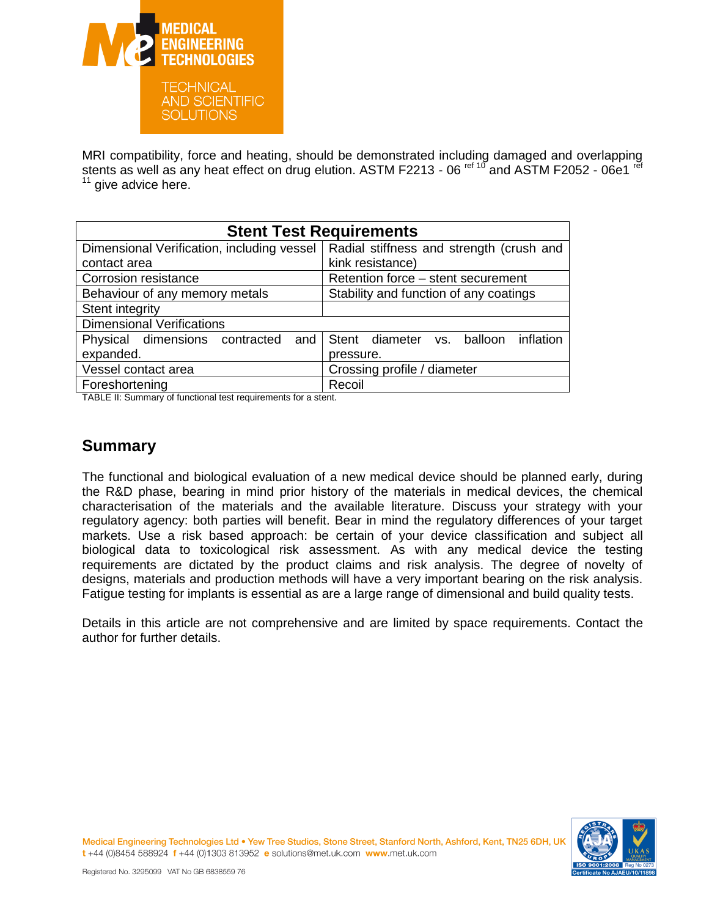

MRI compatibility, force and heating, should be demonstrated including damaged and overlapping stents as well as any heat effect on drug elution. ASTM F2213 - 06<sup>ref 10</sup> and ASTM F2052 - 06e1<sup>ref</sup>  $11$  give advice here.

| <b>Stent Test Requirements</b>             |                                          |
|--------------------------------------------|------------------------------------------|
| Dimensional Verification, including vessel | Radial stiffness and strength (crush and |
| contact area                               | kink resistance)                         |
| Corrosion resistance                       | Retention force - stent securement       |
| Behaviour of any memory metals             | Stability and function of any coatings   |
| Stent integrity                            |                                          |
| <b>Dimensional Verifications</b>           |                                          |
| Physical dimensions contracted<br>and      | Stent diameter vs. balloon inflation     |
| expanded.                                  | pressure.                                |
| Vessel contact area                        | Crossing profile / diameter              |
| Foreshortening                             | Recoil                                   |

TABLE II: Summary of functional test requirements for a stent.

#### **Summary**

The functional and biological evaluation of a new medical device should be planned early, during the R&D phase, bearing in mind prior history of the materials in medical devices, the chemical characterisation of the materials and the available literature. Discuss your strategy with your regulatory agency: both parties will benefit. Bear in mind the regulatory differences of your target markets. Use a risk based approach: be certain of your device classification and subject all biological data to toxicological risk assessment. As with any medical device the testing requirements are dictated by the product claims and risk analysis. The degree of novelty of designs, materials and production methods will have a very important bearing on the risk analysis. Fatigue testing for implants is essential as are a large range of dimensional and build quality tests.

Details in this article are not comprehensive and are limited by space requirements. Contact the author for further details.



Medical Engineering Technologies Ltd . Yew Tree Studios, Stone Street, Stanford North, Ashford, Kent, TN25 6DH, U t+44 (0)8454 588924 f+44 (0)1303 813952 e solutions@met.uk.com www.met.uk.com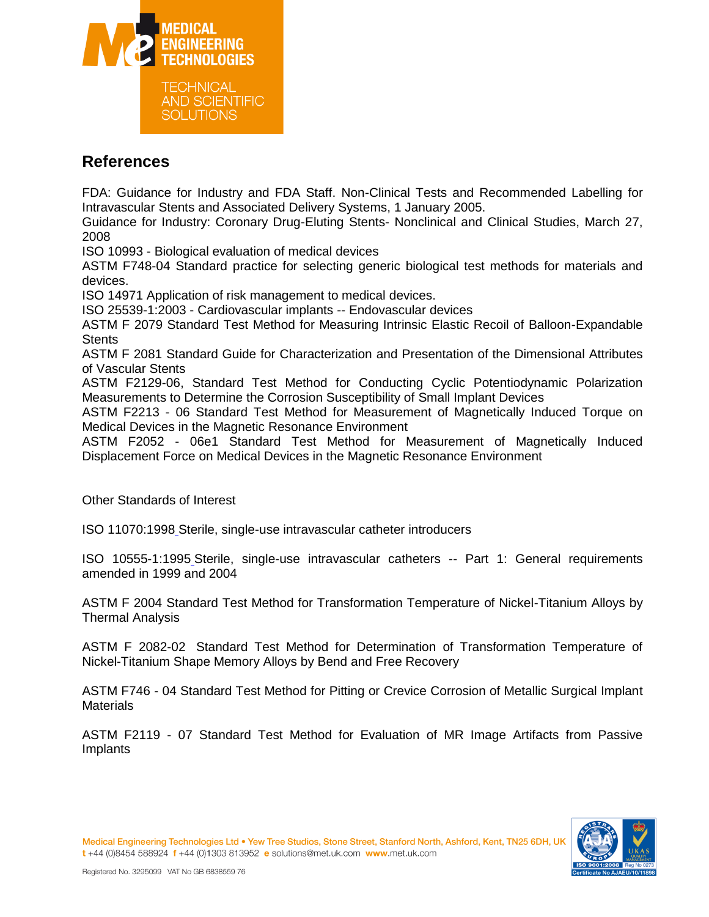

### **References**

FDA: Guidance for Industry and FDA Staff. Non-Clinical Tests and Recommended Labelling for Intravascular Stents and Associated Delivery Systems, 1 January 2005.

Guidance for Industry: Coronary Drug-Eluting Stents- Nonclinical and Clinical Studies, March 27, 2008

ISO 10993 - Biological evaluation of medical devices

ASTM F748-04 Standard practice for selecting generic biological test methods for materials and devices.

ISO 14971 Application of risk management to medical devices.

ISO 25539-1:2003 - Cardiovascular implants -- Endovascular devices

ASTM F 2079 Standard Test Method for Measuring Intrinsic Elastic Recoil of Balloon-Expandable **Stents** 

ASTM F 2081 Standard Guide for Characterization and Presentation of the Dimensional Attributes of Vascular Stents

ASTM F2129-06, Standard Test Method for Conducting Cyclic Potentiodynamic Polarization Measurements to Determine the Corrosion Susceptibility of Small Implant Devices

ASTM F2213 - 06 Standard Test Method for Measurement of Magnetically Induced Torque on Medical Devices in the Magnetic Resonance Environment

ASTM F2052 - 06e1 Standard Test Method for Measurement of Magnetically Induced Displacement Force on Medical Devices in the Magnetic Resonance Environment

Other Standards of Interest

ISO 11070:199[8](http://www.iso.org/iso/iso_catalogue/catalogue_tc/rss.xml?csnumber=19052&rss=detail) Sterile, single-use intravascular catheter introducers

ISO 10555-1:199[5](http://www.iso.org/iso/iso_catalogue/catalogue_tc/rss.xml?csnumber=18640&rss=detail) Sterile, single-use intravascular catheters -- Part 1: General requirements amended in 1999 and 2004

ASTM F 2004 Standard Test Method for Transformation Temperature of Nickel-Titanium Alloys by Thermal Analysis

ASTM F 2082-02 Standard Test Method for Determination of Transformation Temperature of Nickel-Titanium Shape Memory Alloys by Bend and Free Recovery

ASTM F746 - 04 Standard Test Method for Pitting or Crevice Corrosion of Metallic Surgical Implant **Materials** 

ASTM F2119 - 07 Standard Test Method for Evaluation of MR Image Artifacts from Passive Implants